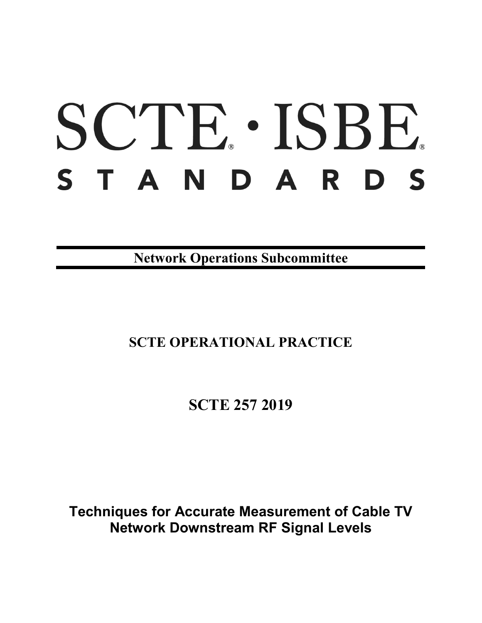# SCTE · ISBE. S T A N D A R D S

**Network Operations Subcommittee**

## **SCTE OPERATIONAL PRACTICE**

**SCTE 257 2019**

**Techniques for Accurate Measurement of Cable TV Network Downstream RF Signal Levels**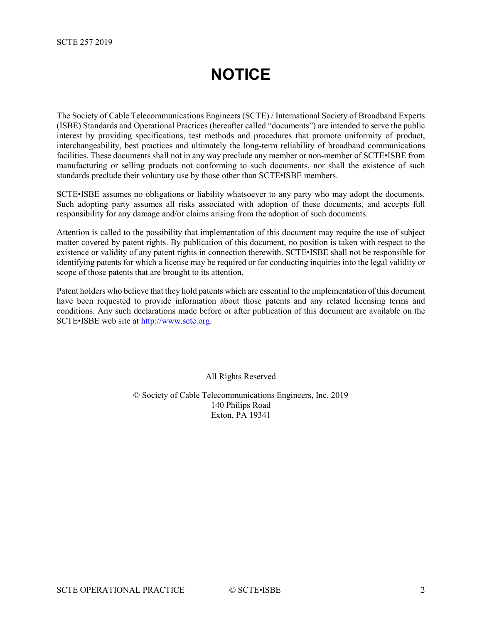## **NOTICE**

<span id="page-1-0"></span>The Society of Cable Telecommunications Engineers (SCTE) / International Society of Broadband Experts (ISBE) Standards and Operational Practices (hereafter called "documents") are intended to serve the public interest by providing specifications, test methods and procedures that promote uniformity of product, interchangeability, best practices and ultimately the long-term reliability of broadband communications facilities. These documents shall not in any way preclude any member or non-member of SCTE•ISBE from manufacturing or selling products not conforming to such documents, nor shall the existence of such standards preclude their voluntary use by those other than SCTE•ISBE members.

SCTE•ISBE assumes no obligations or liability whatsoever to any party who may adopt the documents. Such adopting party assumes all risks associated with adoption of these documents, and accepts full responsibility for any damage and/or claims arising from the adoption of such documents.

Attention is called to the possibility that implementation of this document may require the use of subject matter covered by patent rights. By publication of this document, no position is taken with respect to the existence or validity of any patent rights in connection therewith. SCTE•ISBE shall not be responsible for identifying patents for which a license may be required or for conducting inquiries into the legal validity or scope of those patents that are brought to its attention.

Patent holders who believe that they hold patents which are essential to the implementation of this document have been requested to provide information about those patents and any related licensing terms and conditions. Any such declarations made before or after publication of this document are available on the SCTE•ISBE web site at [http://www.scte.org.](http://www.scte.org/)

All Rights Reserved

© Society of Cable Telecommunications Engineers, Inc. 2019 140 Philips Road Exton, PA 19341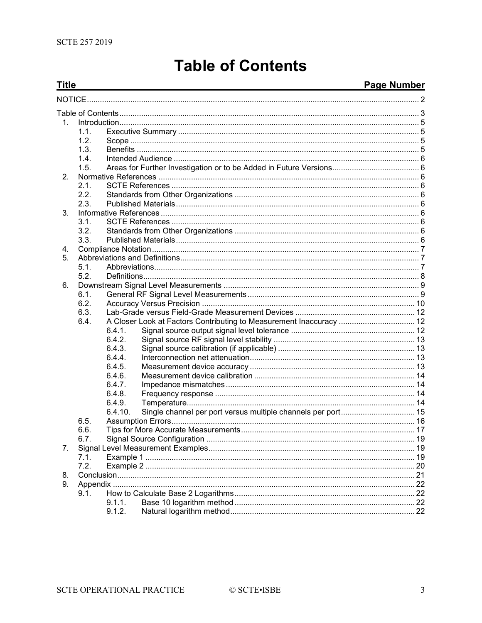## **Table of Contents**

#### <span id="page-2-0"></span>**Title Page Number**  $1$  $11$  $1.2.$  $1.3.$  $14$  $1.5.$  $2<sup>1</sup>$  $2.1.$  $2.2.$  $2.3.$  $\mathbf{3}$  $3.1.$  $3.2.$  $3.3.$  $\mathbf{4}$ 5.  $5.1.$  $5.2.$ 6.  $6.1.$  $6.2.$ 6.3. 64 A Closer Look at Factors Contributing to Measurement Inaccuracy ................................... 12  $6.4.1$  $6.4.2.$  $6.4.3.$ 6.4.4.  $6.4.5.$  $6.4.6.$  $6.4.7.$  $6.4.8.$  $6.4.9.$  $6.4.10.$  $6.5.$  $6.6.$  $6.7.$ 7.  $7.1.$  $7.2.$ 8. Q  $9.1.$  $9.1.1.$  $9.1.2.$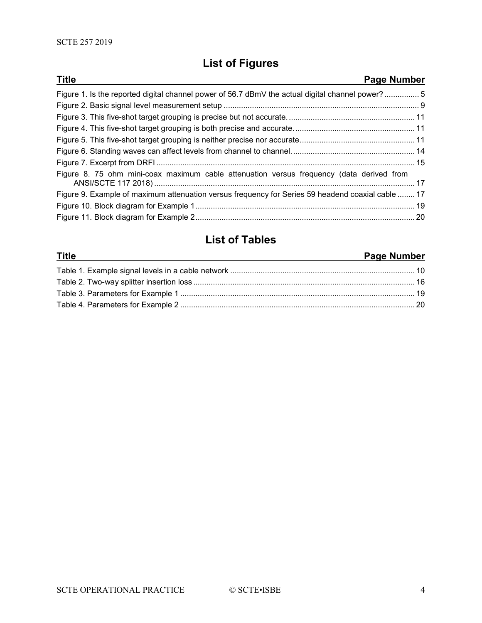## **List of Figures**

| <b>Title</b><br>Page Number                                                                       |  |
|---------------------------------------------------------------------------------------------------|--|
| Figure 1. Is the reported digital channel power of 56.7 dBmV the actual digital channel power?5   |  |
|                                                                                                   |  |
|                                                                                                   |  |
|                                                                                                   |  |
|                                                                                                   |  |
|                                                                                                   |  |
|                                                                                                   |  |
| Figure 8. 75 ohm mini-coax maximum cable attenuation versus frequency (data derived from          |  |
| Figure 9. Example of maximum attenuation versus frequency for Series 59 headend coaxial cable  17 |  |
|                                                                                                   |  |
|                                                                                                   |  |

### **List of Tables**

#### **Title Page Number** Table 1. Example signal levels in a cable network [.....................................................................................](#page-9-1) 10 Table 2. Two-way splitter insertion loss [......................................................................................................](#page-15-1) 16 Table 3. Parameters for Example 1 [............................................................................................................](#page-18-4) 19 Table 4. Parameters for Example 2 [............................................................................................................](#page-19-2) 20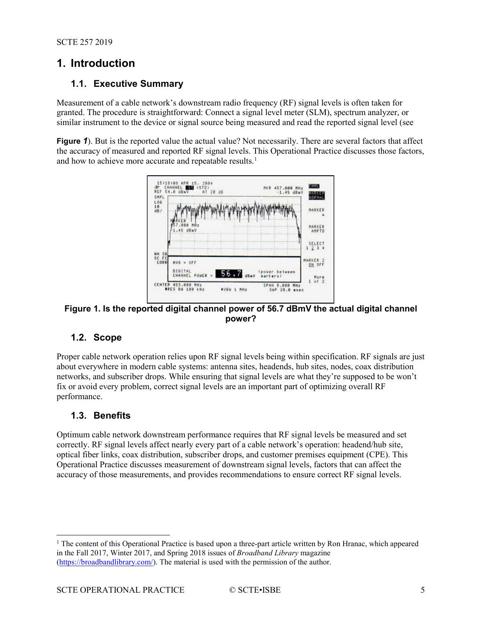#### <span id="page-4-1"></span><span id="page-4-0"></span>**1. Introduction**

#### **1.1. Executive Summary**

Measurement of a cable network's downstream radio frequency (RF) signal levels is often taken for granted. The procedure is straightforward: Connect a signal level meter (SLM), spectrum analyzer, or similar instrument to the device or signal source being measured and read the reported signal level (see

**[Figure](#page-4-5) 1).** But is the reported value the actual value? Not necessarily. There are several factors that affect the accuracy of measured and reported RF signal levels. This Operational Practice discusses those factors, and how to achieve more accurate and repeatable results.<sup>[1](#page-4-6)</sup>

<span id="page-4-5"></span>

#### <span id="page-4-4"></span>**Figure 1. Is the reported digital channel power of 56.7 dBmV the actual digital channel power?**

#### <span id="page-4-2"></span>**1.2. Scope**

Proper cable network operation relies upon RF signal levels being within specification. RF signals are just about everywhere in modern cable systems: antenna sites, headends, hub sites, nodes, coax distribution networks, and subscriber drops. While ensuring that signal levels are what they're supposed to be won't fix or avoid every problem, correct signal levels are an important part of optimizing overall RF performance.

#### <span id="page-4-3"></span>**1.3. Benefits**

Optimum cable network downstream performance requires that RF signal levels be measured and set correctly. RF signal levels affect nearly every part of a cable network's operation: headend/hub site, optical fiber links, coax distribution, subscriber drops, and customer premises equipment (CPE). This Operational Practice discusses measurement of downstream signal levels, factors that can affect the accuracy of those measurements, and provides recommendations to ensure correct RF signal levels.

<span id="page-4-6"></span><sup>&</sup>lt;sup>1</sup> The content of this Operational Practice is based upon a three-part article written by Ron Hranac, which appeared in the Fall 2017, Winter 2017, and Spring 2018 issues of *Broadband Library* magazine [\(https://broadbandlibrary.com/\)](https://broadbandlibrary.com/). The material is used with the permission of the author.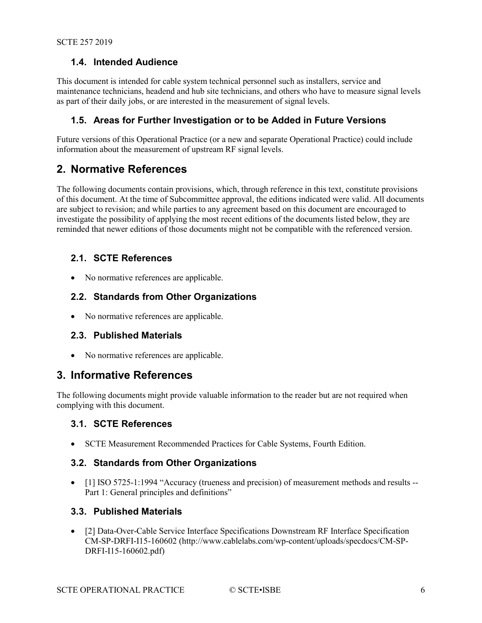#### <span id="page-5-0"></span>**1.4. Intended Audience**

This document is intended for cable system technical personnel such as installers, service and maintenance technicians, headend and hub site technicians, and others who have to measure signal levels as part of their daily jobs, or are interested in the measurement of signal levels.

#### <span id="page-5-1"></span>**1.5. Areas for Further Investigation or to be Added in Future Versions**

Future versions of this Operational Practice (or a new and separate Operational Practice) could include information about the measurement of upstream RF signal levels.

#### <span id="page-5-2"></span>**2. Normative References**

The following documents contain provisions, which, through reference in this text, constitute provisions of this document. At the time of Subcommittee approval, the editions indicated were valid. All documents are subject to revision; and while parties to any agreement based on this document are encouraged to investigate the possibility of applying the most recent editions of the documents listed below, they are reminded that newer editions of those documents might not be compatible with the referenced version.

#### <span id="page-5-3"></span>**2.1. SCTE References**

<span id="page-5-4"></span>• No normative references are applicable.

#### **2.2. Standards from Other Organizations**

<span id="page-5-5"></span>• No normative references are applicable.

#### **2.3. Published Materials**

• No normative references are applicable.

#### <span id="page-5-6"></span>**3. Informative References**

The following documents might provide valuable information to the reader but are not required when complying with this document.

#### <span id="page-5-7"></span>**3.1. SCTE References**

• SCTE Measurement Recommended Practices for Cable Systems, Fourth Edition.

#### <span id="page-5-8"></span>**3.2. Standards from Other Organizations**

• [1] ISO 5725-1:1994 "Accuracy (trueness and precision) of measurement methods and results --Part 1: General principles and definitions"

#### <span id="page-5-9"></span>**3.3. Published Materials**

• [2] Data-Over-Cable Service Interface Specifications Downstream RF Interface Specification CM-SP-DRFI-I15-160602 (http://www.cablelabs.com/wp-content/uploads/specdocs/CM-SP-DRFI-I15-160602.pdf)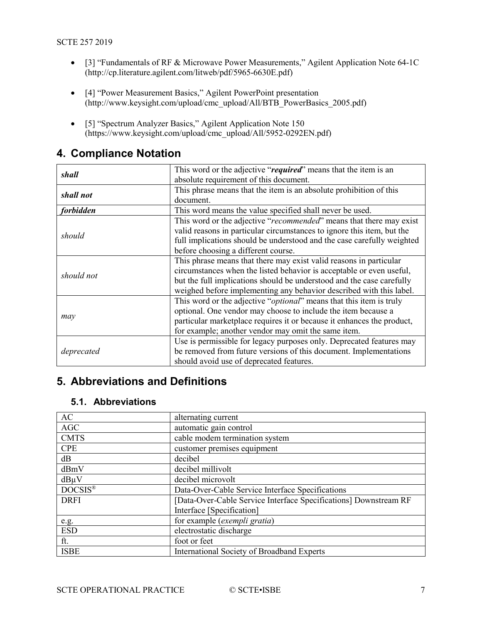- [3] "Fundamentals of RF & Microwave Power Measurements," Agilent Application Note 64-1C (http://cp.literature.agilent.com/litweb/pdf/5965-6630E.pdf)
- [4] "Power Measurement Basics," Agilent PowerPoint presentation (http://www.keysight.com/upload/cmc\_upload/All/BTB\_PowerBasics\_2005.pdf)
- [5] "Spectrum Analyzer Basics," Agilent Application Note 150 (https://www.keysight.com/upload/cmc\_upload/All/5952-0292EN.pdf)

| shall      | This word or the adjective "required" means that the item is an              |
|------------|------------------------------------------------------------------------------|
|            | absolute requirement of this document.                                       |
|            | This phrase means that the item is an absolute prohibition of this           |
| shall not  | document.                                                                    |
| forbidden  | This word means the value specified shall never be used.                     |
|            | This word or the adjective "recommended" means that there may exist          |
|            | valid reasons in particular circumstances to ignore this item, but the       |
| should     | full implications should be understood and the case carefully weighted       |
|            | before choosing a different course.                                          |
|            | This phrase means that there may exist valid reasons in particular           |
| should not | circumstances when the listed behavior is acceptable or even useful,         |
|            | but the full implications should be understood and the case carefully        |
|            | weighed before implementing any behavior described with this label.          |
|            | This word or the adjective " <i>optional</i> " means that this item is truly |
|            | optional. One vendor may choose to include the item because a                |
| may        | particular marketplace requires it or because it enhances the product,       |
|            | for example; another vendor may omit the same item.                          |
|            | Use is permissible for legacy purposes only. Deprecated features may         |
| deprecated | be removed from future versions of this document. Implementations            |
|            | should avoid use of deprecated features.                                     |

#### <span id="page-6-0"></span>**4. Compliance Notation**

### <span id="page-6-1"></span>**5. Abbreviations and Definitions**

#### <span id="page-6-2"></span>**5.1. Abbreviations**

| AC          | alternating current                                              |
|-------------|------------------------------------------------------------------|
| AGC         | automatic gain control                                           |
| <b>CMTS</b> | cable modem termination system                                   |
| <b>CPE</b>  | customer premises equipment                                      |
| dB          | decibel                                                          |
| dBmV        | decibel millivolt                                                |
| $dB\mu V$   | decibel microvolt                                                |
| DOCSIS®     | Data-Over-Cable Service Interface Specifications                 |
| <b>DRFI</b> | [Data-Over-Cable Service Interface Specifications] Downstream RF |
|             | Interface [Specification]                                        |
| e.g.        | for example (exempli gratia)                                     |
| <b>ESD</b>  | electrostatic discharge                                          |
| ft.         | foot or feet                                                     |
| <b>ISBE</b> | International Society of Broadband Experts                       |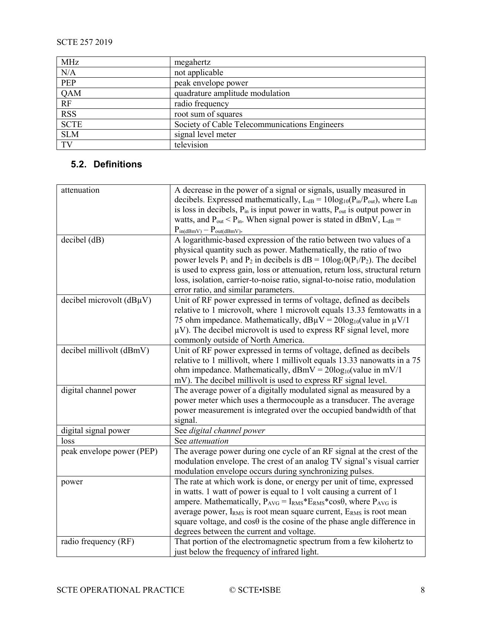| MHz         | megahertz                                     |
|-------------|-----------------------------------------------|
| N/A         | not applicable                                |
| <b>PEP</b>  | peak envelope power                           |
| QAM         | quadrature amplitude modulation               |
| RF          | radio frequency                               |
| <b>RSS</b>  | root sum of squares                           |
| <b>SCTE</b> | Society of Cable Telecommunications Engineers |
| <b>SLM</b>  | signal level meter                            |
| TV          | television                                    |

#### <span id="page-7-0"></span>**5.2. Definitions**

| attenuation               | A decrease in the power of a signal or signals, usually measured in<br>decibels. Expressed mathematically, $L_{dB} = 10\log_{10}(P_{in}/P_{out})$ , where $L_{dB}$<br>is loss in decibels, $P_{in}$ is input power in watts, $P_{out}$ is output power in<br>watts, and $P_{out}$ < $P_{in}$ . When signal power is stated in dBmV, $L_{dB}$ =<br>$P_{in(dBmV)} - P_{out(dBmV)}$                                                                      |
|---------------------------|-------------------------------------------------------------------------------------------------------------------------------------------------------------------------------------------------------------------------------------------------------------------------------------------------------------------------------------------------------------------------------------------------------------------------------------------------------|
| decibel (dB)              | A logarithmic-based expression of the ratio between two values of a<br>physical quantity such as power. Mathematically, the ratio of two<br>power levels $P_1$ and $P_2$ in decibels is $dB = 10log_10(P_1/P_2)$ . The decibel<br>is used to express gain, loss or attenuation, return loss, structural return<br>loss, isolation, carrier-to-noise ratio, signal-to-noise ratio, modulation<br>error ratio, and similar parameters.                  |
| decibel microvolt (dBµV)  | Unit of RF power expressed in terms of voltage, defined as decibels<br>relative to 1 microvolt, where 1 microvolt equals 13.33 femtowatts in a<br>75 ohm impedance. Mathematically, $dB\mu V = 20\log_{10}(value in \mu V/1)$<br>$\mu$ V). The decibel microvolt is used to express RF signal level, more<br>commonly outside of North America.                                                                                                       |
| decibel millivolt (dBmV)  | Unit of RF power expressed in terms of voltage, defined as decibels<br>relative to 1 millivolt, where 1 millivolt equals 13.33 nanowatts in a 75<br>ohm impedance. Mathematically, $dBmV = 20log_{10}(value in mV/1)$<br>mV). The decibel millivolt is used to express RF signal level.                                                                                                                                                               |
| digital channel power     | The average power of a digitally modulated signal as measured by a<br>power meter which uses a thermocouple as a transducer. The average<br>power measurement is integrated over the occupied bandwidth of that<br>signal.                                                                                                                                                                                                                            |
| digital signal power      | See digital channel power                                                                                                                                                                                                                                                                                                                                                                                                                             |
| loss                      | See attenuation                                                                                                                                                                                                                                                                                                                                                                                                                                       |
| peak envelope power (PEP) | The average power during one cycle of an RF signal at the crest of the<br>modulation envelope. The crest of an analog TV signal's visual carrier<br>modulation envelope occurs during synchronizing pulses.                                                                                                                                                                                                                                           |
| power                     | The rate at which work is done, or energy per unit of time, expressed<br>in watts. 1 watt of power is equal to 1 volt causing a current of 1<br>ampere. Mathematically, $P_{AVG} = I_{RMS} * E_{RMS} * cos\theta$ , where $P_{AVG}$ is<br>average power, $I_{RMS}$ is root mean square current, $E_{RMS}$ is root mean<br>square voltage, and $\cos\theta$ is the cosine of the phase angle difference in<br>degrees between the current and voltage. |
| radio frequency (RF)      | That portion of the electromagnetic spectrum from a few kilohertz to<br>just below the frequency of infrared light.                                                                                                                                                                                                                                                                                                                                   |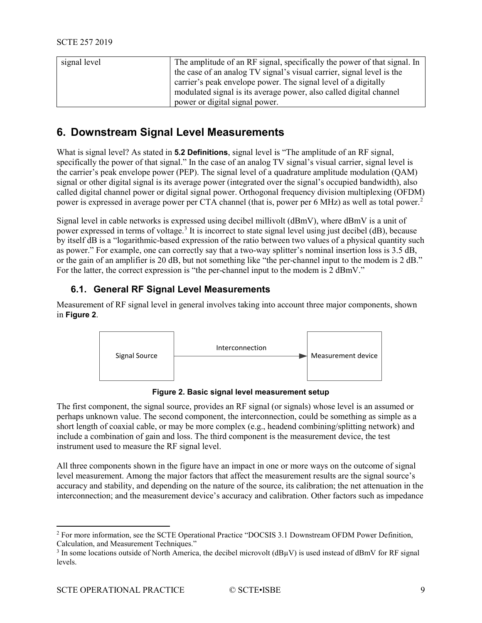| signal level | The amplitude of an RF signal, specifically the power of that signal. In |
|--------------|--------------------------------------------------------------------------|
|              | the case of an analog TV signal's visual carrier, signal level is the    |
|              | carrier's peak envelope power. The signal level of a digitally           |
|              | modulated signal is its average power, also called digital channel       |
|              | power or digital signal power.                                           |

#### <span id="page-8-0"></span>**6. Downstream Signal Level Measurements**

What is signal level? As stated in **5.2 Definitions**, signal level is "The amplitude of an RF signal, specifically the power of that signal." In the case of an analog TV signal's visual carrier, signal level is the carrier's peak envelope power (PEP). The signal level of a quadrature amplitude modulation (QAM) signal or other digital signal is its average power (integrated over the signal's occupied bandwidth), also called digital channel power or digital signal power. Orthogonal frequency division multiplexing (OFDM) power is expressed in average power per CTA channel (that is, power per 6 MHz) as well as total power. [2](#page-8-3)

Signal level in cable networks is expressed using decibel millivolt (dBmV), where dBmV is a unit of power expressed in terms of voltage[.3](#page-8-4) It is incorrect to state signal level using just decibel (dB), because by itself dB is a "logarithmic-based expression of the ratio between two values of a physical quantity such as power." For example, one can correctly say that a two-way splitter's nominal insertion loss is 3.5 dB, or the gain of an amplifier is 20 dB, but not something like "the per-channel input to the modem is 2 dB." For the latter, the correct expression is "the per-channel input to the modem is 2 dBmV."

#### <span id="page-8-1"></span>**6.1. General RF Signal Level Measurements**

Measurement of RF signal level in general involves taking into account three major components, shown in **[Figure 2](#page-8-2)**.



**Figure 2. Basic signal level measurement setup**

<span id="page-8-2"></span>The first component, the signal source, provides an RF signal (or signals) whose level is an assumed or perhaps unknown value. The second component, the interconnection, could be something as simple as a short length of coaxial cable, or may be more complex (e.g., headend combining/splitting network) and include a combination of gain and loss. The third component is the measurement device, the test instrument used to measure the RF signal level.

All three components shown in the figure have an impact in one or more ways on the outcome of signal level measurement. Among the major factors that affect the measurement results are the signal source's accuracy and stability, and depending on the nature of the source, its calibration; the net attenuation in the interconnection; and the measurement device's accuracy and calibration. Other factors such as impedance

<span id="page-8-3"></span> <sup>2</sup> For more information, see the SCTE Operational Practice "DOCSIS 3.1 Downstream OFDM Power Definition, Calculation, and Measurement Techniques."

<span id="page-8-4"></span> $3$  In some locations outside of North America, the decibel microvolt ( $dB\mu V$ ) is used instead of dBmV for RF signal levels.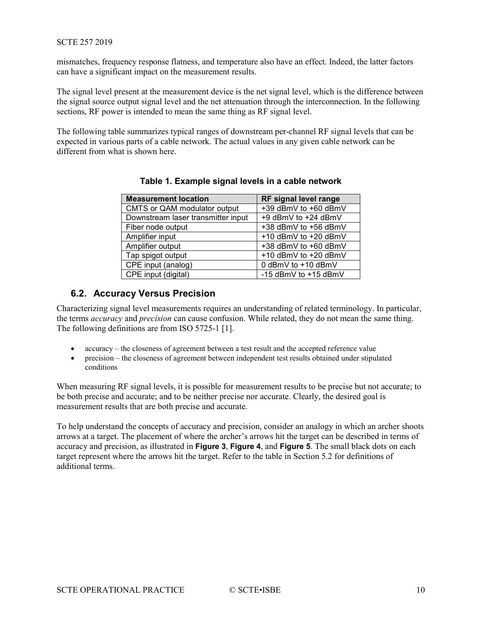mismatches, frequency response flatness, and temperature also have an effect. Indeed, the latter factors can have a significant impact on the measurement results.

The signal level present at the measurement device is the net signal level, which is the difference between the signal source output signal level and the net attenuation through the interconnection. In the following sections, RF power is intended to mean the same thing as RF signal level.

<span id="page-9-1"></span>The following table summarizes typical ranges of downstream per-channel RF signal levels that can be expected in various parts of a cable network. The actual values in any given cable network can be different from what is shown here.

| <b>Measurement location</b>        | RF signal level range     |
|------------------------------------|---------------------------|
| CMTS or QAM modulator output       | +39 dBmV to +60 dBmV      |
| Downstream laser transmitter input | +9 dBmV to +24 dBmV       |
| Fiber node output                  | +38 dBmV to +56 dBmV      |
| Amplifier input                    | $+10$ dBmV to $+20$ dBmV  |
| Amplifier output                   | +38 dBmV to +60 dBmV      |
| Tap spigot output                  | +10 dBmV to +20 dBmV      |
| CPE input (analog)                 | 0 dBmV to +10 dBmV        |
| CPE input (digital)                | -15 $d$ BmV to $+15$ dBmV |

| Table 1. Example signal levels in a cable network |  |  |  |
|---------------------------------------------------|--|--|--|
|                                                   |  |  |  |

#### <span id="page-9-0"></span>**6.2. Accuracy Versus Precision**

Characterizing signal level measurements requires an understanding of related terminology. In particular, the terms *accuracy* and *precision* can cause confusion. While related, they do not mean the same thing. The following definitions are from ISO 5725-1 [1].

- accuracy the closeness of agreement between a test result and the accepted reference value
- precision the closeness of agreement between independent test results obtained under stipulated conditions

When measuring RF signal levels, it is possible for measurement results to be precise but not accurate; to be both precise and accurate; and to be neither precise nor accurate. Clearly, the desired goal is measurement results that are both precise and accurate.

To help understand the concepts of accuracy and precision, consider an analogy in which an archer shoots arrows at a target. The placement of where the archer's arrows hit the target can be described in terms of accuracy and precision, as illustrated in **[Figure 3](#page-10-0)**, **[Figure 4](#page-10-1)**, and **[Figure 5](#page-10-2)**. The small black dots on each target represent where the arrows hit the target. Refer to the table in Section 5.2 for definitions of additional terms.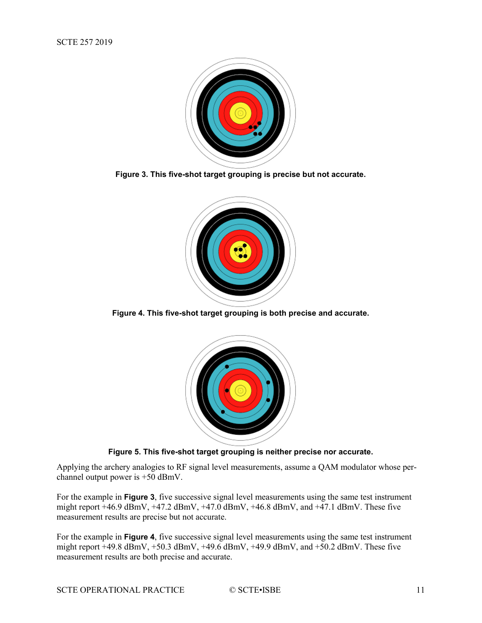

<span id="page-10-0"></span>**Figure 3. This five-shot target grouping is precise but not accurate.**



<span id="page-10-1"></span>**Figure 4. This five-shot target grouping is both precise and accurate.**



**Figure 5. This five-shot target grouping is neither precise nor accurate.**

<span id="page-10-2"></span>Applying the archery analogies to RF signal level measurements, assume a QAM modulator whose perchannel output power is +50 dBmV.

For the example in **[Figure 3](#page-10-0)**, five successive signal level measurements using the same test instrument might report  $+46.9$  dBmV,  $+47.2$  dBmV,  $+47.0$  dBmV,  $+46.8$  dBmV, and  $+47.1$  dBmV. These five measurement results are precise but not accurate.

For the example in **[Figure 4](#page-10-1)**, five successive signal level measurements using the same test instrument might report  $+49.8$  dBmV,  $+50.3$  dBmV,  $+49.6$  dBmV,  $+49.9$  dBmV, and  $+50.2$  dBmV. These five measurement results are both precise and accurate.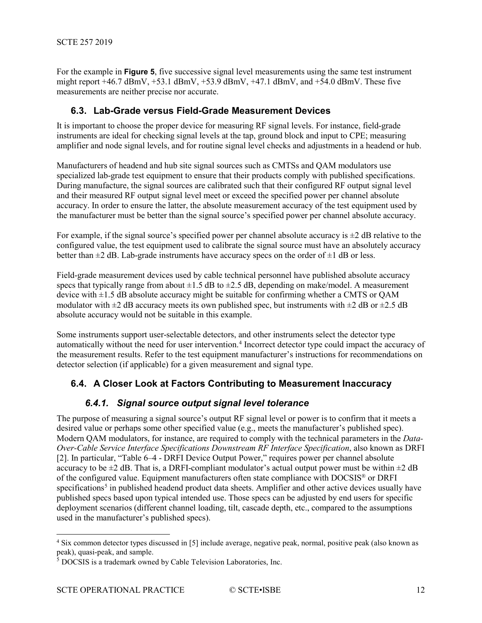For the example in **[Figure 5](#page-10-2)**, five successive signal level measurements using the same test instrument might report  $+46.7$  dBmV,  $+53.1$  dBmV,  $+53.9$  dBmV,  $+47.1$  dBmV, and  $+54.0$  dBmV. These five measurements are neither precise nor accurate.

#### <span id="page-11-0"></span>**6.3. Lab-Grade versus Field-Grade Measurement Devices**

It is important to choose the proper device for measuring RF signal levels. For instance, field-grade instruments are ideal for checking signal levels at the tap, ground block and input to CPE; measuring amplifier and node signal levels, and for routine signal level checks and adjustments in a headend or hub.

Manufacturers of headend and hub site signal sources such as CMTSs and QAM modulators use specialized lab-grade test equipment to ensure that their products comply with published specifications. During manufacture, the signal sources are calibrated such that their configured RF output signal level and their measured RF output signal level meet or exceed the specified power per channel absolute accuracy. In order to ensure the latter, the absolute measurement accuracy of the test equipment used by the manufacturer must be better than the signal source's specified power per channel absolute accuracy.

For example, if the signal source's specified power per channel absolute accuracy is  $\pm 2$  dB relative to the configured value, the test equipment used to calibrate the signal source must have an absolutely accuracy better than  $\pm 2$  dB. Lab-grade instruments have accuracy specs on the order of  $\pm 1$  dB or less.

Field-grade measurement devices used by cable technical personnel have published absolute accuracy specs that typically range from about  $\pm 1.5$  dB to  $\pm 2.5$  dB, depending on make/model. A measurement device with  $\pm 1.5$  dB absolute accuracy might be suitable for confirming whether a CMTS or OAM modulator with  $\pm 2$  dB accuracy meets its own published spec, but instruments with  $\pm 2$  dB or  $\pm 2.5$  dB absolute accuracy would not be suitable in this example.

Some instruments support user-selectable detectors, and other instruments select the detector type automatically without the need for user intervention. [4](#page-11-3) Incorrect detector type could impact the accuracy of the measurement results. Refer to the test equipment manufacturer's instructions for recommendations on detector selection (if applicable) for a given measurement and signal type.

#### <span id="page-11-1"></span>**6.4. A Closer Look at Factors Contributing to Measurement Inaccuracy**

#### *6.4.1. Signal source output signal level tolerance*

<span id="page-11-2"></span>The purpose of measuring a signal source's output RF signal level or power is to confirm that it meets a desired value or perhaps some other specified value (e.g., meets the manufacturer's published spec). Modern QAM modulators, for instance, are required to comply with the technical parameters in the *Data-Over-Cable Service Interface Specifications Downstream RF Interface Specification*, also known as DRFI [2]. In particular, "Table 6–4 - DRFI Device Output Power," requires power per channel absolute accuracy to be  $\pm 2$  dB. That is, a DRFI-compliant modulator's actual output power must be within  $\pm 2$  dB of the configured value. Equipment manufacturers often state compliance with DOCSIS® or DRFI specifications<sup>[5](#page-11-4)</sup> in published headend product data sheets. Amplifier and other active devices usually have published specs based upon typical intended use. Those specs can be adjusted by end users for specific deployment scenarios (different channel loading, tilt, cascade depth, etc., compared to the assumptions used in the manufacturer's published specs).

<span id="page-11-3"></span> <sup>4</sup> Six common detector types discussed in [5] include average, negative peak, normal, positive peak (also known as peak), quasi-peak, and sample.

<span id="page-11-4"></span><sup>&</sup>lt;sup>5</sup> DOCSIS is a trademark owned by Cable Television Laboratories, Inc.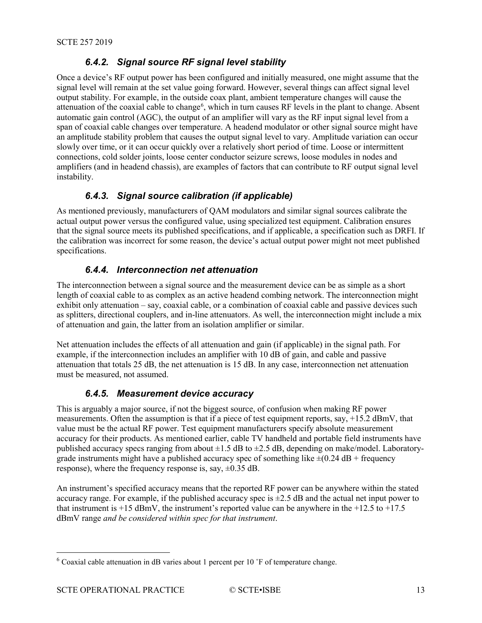#### *6.4.2. Signal source RF signal level stability*

<span id="page-12-0"></span>Once a device's RF output power has been configured and initially measured, one might assume that the signal level will remain at the set value going forward. However, several things can affect signal level output stability. For example, in the outside coax plant, ambient temperature changes will cause the attenuation of the coaxial cable to change<sup>[6](#page-12-4)</sup>, which in turn causes RF levels in the plant to change. Absent automatic gain control (AGC), the output of an amplifier will vary as the RF input signal level from a span of coaxial cable changes over temperature. A headend modulator or other signal source might have an amplitude stability problem that causes the output signal level to vary. Amplitude variation can occur slowly over time, or it can occur quickly over a relatively short period of time. Loose or intermittent connections, cold solder joints, loose center conductor seizure screws, loose modules in nodes and amplifiers (and in headend chassis), are examples of factors that can contribute to RF output signal level instability.

#### *6.4.3. Signal source calibration (if applicable)*

<span id="page-12-1"></span>As mentioned previously, manufacturers of QAM modulators and similar signal sources calibrate the actual output power versus the configured value, using specialized test equipment. Calibration ensures that the signal source meets its published specifications, and if applicable, a specification such as DRFI. If the calibration was incorrect for some reason, the device's actual output power might not meet published specifications.

#### *6.4.4. Interconnection net attenuation*

<span id="page-12-2"></span>The interconnection between a signal source and the measurement device can be as simple as a short length of coaxial cable to as complex as an active headend combing network. The interconnection might exhibit only attenuation – say, coaxial cable, or a combination of coaxial cable and passive devices such as splitters, directional couplers, and in-line attenuators. As well, the interconnection might include a mix of attenuation and gain, the latter from an isolation amplifier or similar.

Net attenuation includes the effects of all attenuation and gain (if applicable) in the signal path. For example, if the interconnection includes an amplifier with 10 dB of gain, and cable and passive attenuation that totals 25 dB, the net attenuation is 15 dB. In any case, interconnection net attenuation must be measured, not assumed.

#### *6.4.5. Measurement device accuracy*

<span id="page-12-3"></span>This is arguably a major source, if not the biggest source, of confusion when making RF power measurements. Often the assumption is that if a piece of test equipment reports, say, +15.2 dBmV, that value must be the actual RF power. Test equipment manufacturers specify absolute measurement accuracy for their products. As mentioned earlier, cable TV handheld and portable field instruments have published accuracy specs ranging from about  $\pm 1.5$  dB to  $\pm 2.5$  dB, depending on make/model. Laboratorygrade instruments might have a published accuracy spec of something like  $\pm (0.24 \text{ dB} + \text{frequency})$ response), where the frequency response is, say,  $\pm 0.35$  dB.

An instrument's specified accuracy means that the reported RF power can be anywhere within the stated accuracy range. For example, if the published accuracy spec is  $\pm 2.5$  dB and the actual net input power to that instrument is +15 dBmV, the instrument's reported value can be anywhere in the +12.5 to +17.5 dBmV range *and be considered within spec for that instrument*.

<span id="page-12-4"></span> $6$  Coaxial cable attenuation in dB varies about 1 percent per 10  $\degree$ F of temperature change.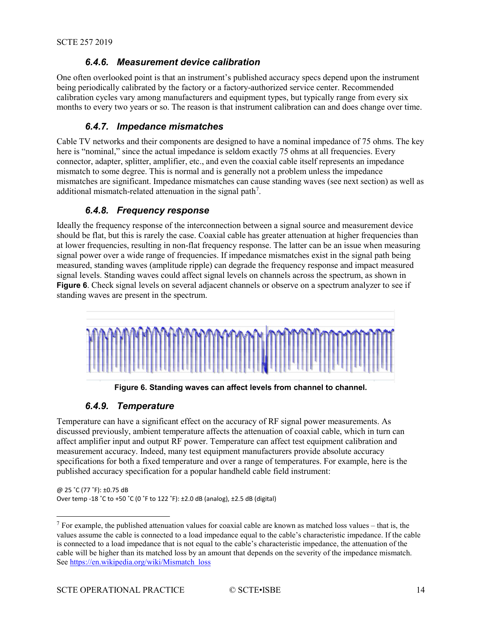#### *6.4.6. Measurement device calibration*

<span id="page-13-0"></span>One often overlooked point is that an instrument's published accuracy specs depend upon the instrument being periodically calibrated by the factory or a factory-authorized service center. Recommended calibration cycles vary among manufacturers and equipment types, but typically range from every six months to every two years or so. The reason is that instrument calibration can and does change over time.

#### *6.4.7. Impedance mismatches*

<span id="page-13-1"></span>Cable TV networks and their components are designed to have a nominal impedance of 75 ohms. The key here is "nominal," since the actual impedance is seldom exactly 75 ohms at all frequencies. Every connector, adapter, splitter, amplifier, etc., and even the coaxial cable itself represents an impedance mismatch to some degree. This is normal and is generally not a problem unless the impedance mismatches are significant. Impedance mismatches can cause standing waves (see next section) as well as additional mismatch-related attenuation in the signal path<sup>7</sup>.

#### *6.4.8. Frequency response*

<span id="page-13-2"></span>Ideally the frequency response of the interconnection between a signal source and measurement device should be flat, but this is rarely the case. Coaxial cable has greater attenuation at higher frequencies than at lower frequencies, resulting in non-flat frequency response. The latter can be an issue when measuring signal power over a wide range of frequencies. If impedance mismatches exist in the signal path being measured, standing waves (amplitude ripple) can degrade the frequency response and impact measured signal levels. Standing waves could affect signal levels on channels across the spectrum, as shown in **[Figure 6](#page-13-4)**. Check signal levels on several adjacent channels or observe on a spectrum analyzer to see if standing waves are present in the spectrum.



**Figure 6. Standing waves can affect levels from channel to channel.**

#### *6.4.9. Temperature*

<span id="page-13-4"></span><span id="page-13-3"></span>Temperature can have a significant effect on the accuracy of RF signal power measurements. As discussed previously, ambient temperature affects the attenuation of coaxial cable, which in turn can affect amplifier input and output RF power. Temperature can affect test equipment calibration and measurement accuracy. Indeed, many test equipment manufacturers provide absolute accuracy specifications for both a fixed temperature and over a range of temperatures. For example, here is the published accuracy specification for a popular handheld cable field instrument:

@ 25 ˚C (77 ˚F): ±0.75 dB Over temp -18 ˚C to +50 ˚C (0 ˚F to 122 ˚F): ±2.0 dB (analog), ±2.5 dB (digital)

<span id="page-13-5"></span><sup>&</sup>lt;sup>7</sup> For example, the published attenuation values for coaxial cable are known as matched loss values – that is, the values assume the cable is connected to a load impedance equal to the cable's characteristic impedance. If the cable is connected to a load impedance that is not equal to the cable's characteristic impedance, the attenuation of the cable will be higher than its matched loss by an amount that depends on the severity of the impedance mismatch. See [https://en.wikipedia.org/wiki/Mismatch\\_loss](https://en.wikipedia.org/wiki/Mismatch_loss)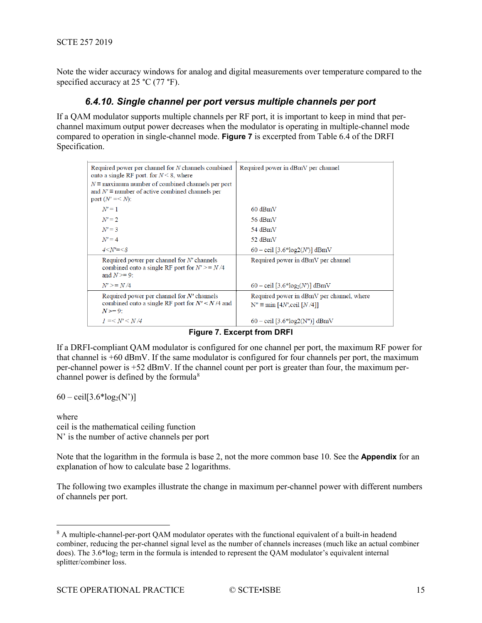<span id="page-14-0"></span>Note the wider accuracy windows for analog and digital measurements over temperature compared to the specified accuracy at 25 °C (77 °F).

#### *6.4.10. Single channel per port versus multiple channels per port*

If a QAM modulator supports multiple channels per RF port, it is important to keep in mind that perchannel maximum output power decreases when the modulator is operating in multiple-channel mode compared to operation in single-channel mode. **[Figure 7](#page-14-1)** is excerpted from Table 6.4 of the DRFI Specification.

| Required power per channel for N channels combined<br>onto a single RF port. for $N \leq 8$ , where<br>$N \equiv$ maximum number of combined channels per port<br>and $N' \equiv$ number of active combined channels per<br>port $(N'=< N)$ : | Required power in dBmV per channel                                                                |
|-----------------------------------------------------------------------------------------------------------------------------------------------------------------------------------------------------------------------------------------------|---------------------------------------------------------------------------------------------------|
| $N'=1$                                                                                                                                                                                                                                        | $60$ dBmV                                                                                         |
| $N'=2$                                                                                                                                                                                                                                        | 56 dBmV                                                                                           |
| $N' = 3$                                                                                                                                                                                                                                      | 54 dBmV                                                                                           |
| $N' = 4$                                                                                                                                                                                                                                      | 52 dBmV                                                                                           |
| $4 < N' = < 8$                                                                                                                                                                                                                                | 60 – ceil [3.6*log2(N')] dBmV                                                                     |
| Required power per channel for N' channels<br>combined onto a single RF port for $N' \geq N/4$<br>and $N \geq 9$ :                                                                                                                            | Required power in dBmV per channel                                                                |
| $N' \geq N/4$                                                                                                                                                                                                                                 | 60 – ceil [3.6*log <sub>2</sub> (N')] dBmV                                                        |
| Required power per channel for $N'$ channels<br>combined onto a single RF port for $N' < N/4$ and<br>$N = 9$ :                                                                                                                                | Required power in dBmV per channel, where<br>$N'' \equiv min$ [4 <i>N'</i> , ceil [ <i>N</i> /4]] |
| $l = < N' < N/4$                                                                                                                                                                                                                              | 60 – ceil [3.6*log2(N")] dBmV                                                                     |

**Figure 7. Excerpt from DRFI**

<span id="page-14-1"></span>If a DRFI-compliant QAM modulator is configured for one channel per port, the maximum RF power for that channel is  $+60$  dBmV. If the same modulator is configured for four channels per port, the maximum per-channel power is +52 dBmV. If the channel count per port is greater than four, the maximum perchannel power is defined by the formula $8$ 

 $60 - \text{ceil}[3.6* \log_2(N')]$ 

where ceil is the mathematical ceiling function N' is the number of active channels per port

Note that the logarithm in the formula is base 2, not the more common base 10. See the **Appendix** for an explanation of how to calculate base 2 logarithms.

The following two examples illustrate the change in maximum per-channel power with different numbers of channels per port.

<span id="page-14-2"></span><sup>&</sup>lt;sup>8</sup> A multiple-channel-per-port QAM modulator operates with the functional equivalent of a built-in headend combiner, reducing the per-channel signal level as the number of channels increases (much like an actual combiner does). The 3.6\*log<sub>2</sub> term in the formula is intended to represent the QAM modulator's equivalent internal splitter/combiner loss.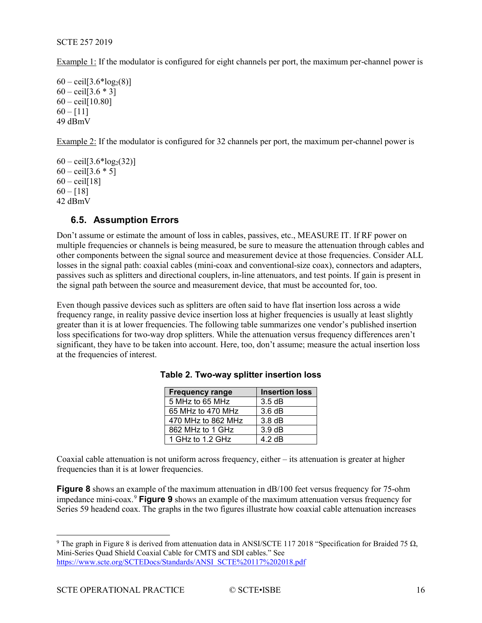Example 1: If the modulator is configured for eight channels per port, the maximum per-channel power is

```
60 - \text{ceil}[3.6* \log_2(8)]60 - \text{ceil}[3.6 * 3]60 - \text{ceil}[10.80]60 - 11149 dBmV
```
Example 2: If the modulator is configured for 32 channels per port, the maximum per-channel power is

 $60 - \text{ceil}[3.6* \log_2(32)]$  $60 - \text{ceil}[3.6 * 5]$  $60 - \text{ceil}[18]$  $60 - 18$ ] 42 dBmV

#### <span id="page-15-0"></span>**6.5. Assumption Errors**

Don't assume or estimate the amount of loss in cables, passives, etc., MEASURE IT. If RF power on multiple frequencies or channels is being measured, be sure to measure the attenuation through cables and other components between the signal source and measurement device at those frequencies. Consider ALL losses in the signal path: coaxial cables (mini-coax and conventional-size coax), connectors and adapters, passives such as splitters and directional couplers, in-line attenuators, and test points. If gain is present in the signal path between the source and measurement device, that must be accounted for, too.

<span id="page-15-1"></span>Even though passive devices such as splitters are often said to have flat insertion loss across a wide frequency range, in reality passive device insertion loss at higher frequencies is usually at least slightly greater than it is at lower frequencies. The following table summarizes one vendor's published insertion loss specifications for two-way drop splitters. While the attenuation versus frequency differences aren't significant, they have to be taken into account. Here, too, don't assume; measure the actual insertion loss at the frequencies of interest.

| <b>Frequency range</b> | <b>Insertion loss</b> |
|------------------------|-----------------------|
| 5 MHz to 65 MHz        | 3.5dB                 |
| 65 MHz to 470 MHz      | $3.6\,\mathrm{dB}$    |
| 470 MHz to 862 MHz     | $3.8\,\mathrm{dB}$    |
| 862 MHz to 1 GHz       | $3.9 \text{ dB}$      |
| 1 GHz to 1.2 GHz       | $4.2 \text{ dB}$      |

**Table 2. Two-way splitter insertion loss**

Coaxial cable attenuation is not uniform across frequency, either – its attenuation is greater at higher frequencies than it is at lower frequencies.

**[Figure 8](#page-16-1)** shows an example of the maximum attenuation in dB/100 feet versus frequency for 75-ohm impedance mini-coax.[9](#page-15-2) **[Figure 9](#page-16-2)** shows an example of the maximum attenuation versus frequency for Series 59 headend coax. The graphs in the two figures illustrate how coaxial cable attenuation increases

<span id="page-15-2"></span><sup>&</sup>lt;sup>9</sup> The graph in Figure 8 is derived from attenuation data in ANSI/SCTE 117 2018 "Specification for Braided 75 Ω, Mini-Series Quad Shield Coaxial Cable for CMTS and SDI cables." See [https://www.scte.org/SCTEDocs/Standards/ANSI\\_SCTE%20117%202018.pdf](https://www.scte.org/SCTEDocs/Standards/ANSI_SCTE%20117%202018.pdf)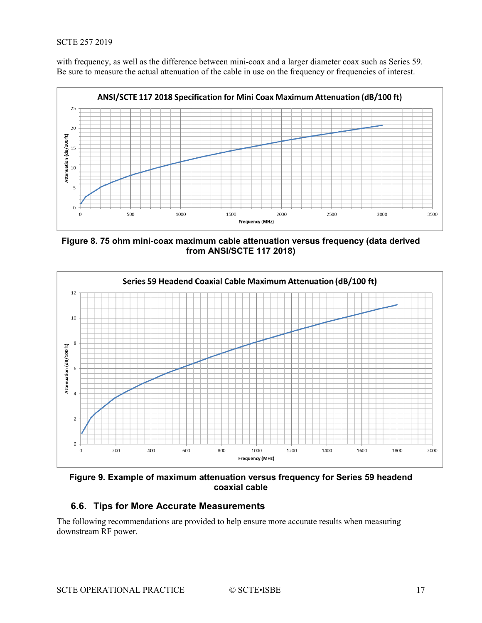with frequency, as well as the difference between mini-coax and a larger diameter coax such as Series 59. Be sure to measure the actual attenuation of the cable in use on the frequency or frequencies of interest.



<span id="page-16-1"></span>**Figure 8. 75 ohm mini-coax maximum cable attenuation versus frequency (data derived from ANSI/SCTE 117 2018)**



<span id="page-16-2"></span>**Figure 9. Example of maximum attenuation versus frequency for Series 59 headend coaxial cable**

#### <span id="page-16-0"></span>**6.6. Tips for More Accurate Measurements**

The following recommendations are provided to help ensure more accurate results when measuring downstream RF power.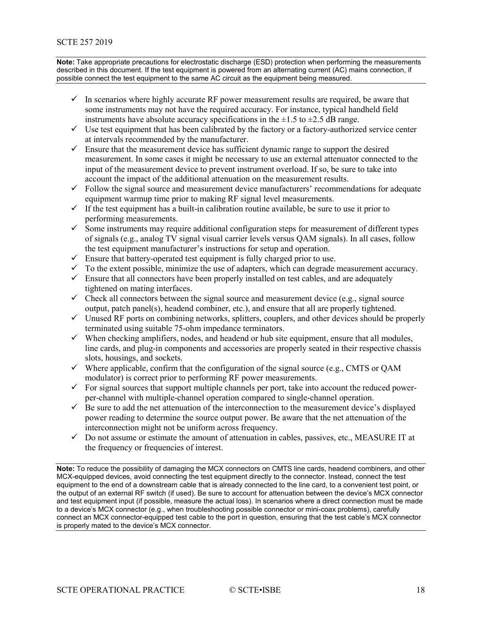**Note:** Take appropriate precautions for electrostatic discharge (ESD) protection when performing the measurements described in this document. If the test equipment is powered from an alternating current (AC) mains connection, if possible connect the test equipment to the same AC circuit as the equipment being measured.

- $\checkmark$  In scenarios where highly accurate RF power measurement results are required, be aware that some instruments may not have the required accuracy. For instance, typical handheld field instruments have absolute accuracy specifications in the  $\pm 1.5$  to  $\pm 2.5$  dB range.
- $\checkmark$  Use test equipment that has been calibrated by the factory or a factory-authorized service center at intervals recommended by the manufacturer.
- $\checkmark$  Ensure that the measurement device has sufficient dynamic range to support the desired measurement. In some cases it might be necessary to use an external attenuator connected to the input of the measurement device to prevent instrument overload. If so, be sure to take into account the impact of the additional attenuation on the measurement results.
- $\checkmark$  Follow the signal source and measurement device manufacturers' recommendations for adequate equipment warmup time prior to making RF signal level measurements.
- $\checkmark$  If the test equipment has a built-in calibration routine available, be sure to use it prior to performing measurements.
- $\checkmark$  Some instruments may require additional configuration steps for measurement of different types of signals (e.g., analog TV signal visual carrier levels versus QAM signals). In all cases, follow the test equipment manufacturer's instructions for setup and operation.
- $\checkmark$  Ensure that battery-operated test equipment is fully charged prior to use.
- $\checkmark$  To the extent possible, minimize the use of adapters, which can degrade measurement accuracy.
- $\checkmark$  Ensure that all connectors have been properly installed on test cables, and are adequately tightened on mating interfaces.
- $\checkmark$  Check all connectors between the signal source and measurement device (e.g., signal source output, patch panel(s), headend combiner, etc.), and ensure that all are properly tightened.
- $\checkmark$  Unused RF ports on combining networks, splitters, couplers, and other devices should be properly terminated using suitable 75-ohm impedance terminators.
- $\checkmark$  When checking amplifiers, nodes, and headend or hub site equipment, ensure that all modules, line cards, and plug-in components and accessories are properly seated in their respective chassis slots, housings, and sockets.
- $\checkmark$  Where applicable, confirm that the configuration of the signal source (e.g., CMTS or QAM modulator) is correct prior to performing RF power measurements.
- $\checkmark$  For signal sources that support multiple channels per port, take into account the reduced powerper-channel with multiple-channel operation compared to single-channel operation.
- $\checkmark$  Be sure to add the net attenuation of the interconnection to the measurement device's displayed power reading to determine the source output power. Be aware that the net attenuation of the interconnection might not be uniform across frequency.
- $\checkmark$  Do not assume or estimate the amount of attenuation in cables, passives, etc., MEASURE IT at the frequency or frequencies of interest.

**Note:** To reduce the possibility of damaging the MCX connectors on CMTS line cards, headend combiners, and other MCX-equipped devices, avoid connecting the test equipment directly to the connector. Instead, connect the test equipment to the end of a downstream cable that is already connected to the line card, to a convenient test point, or the output of an external RF switch (if used). Be sure to account for attenuation between the device's MCX connector and test equipment input (if possible, measure the actual loss). In scenarios where a direct connection must be made to a device's MCX connector (e.g., when troubleshooting possible connector or mini-coax problems), carefully connect an MCX connector-equipped test cable to the port in question, ensuring that the test cable's MCX connector is properly mated to the device's MCX connector.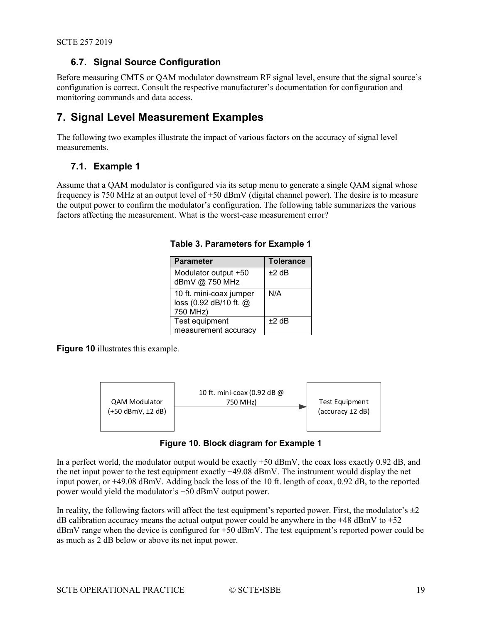#### <span id="page-18-0"></span>**6.7. Signal Source Configuration**

Before measuring CMTS or QAM modulator downstream RF signal level, ensure that the signal source's configuration is correct. Consult the respective manufacturer's documentation for configuration and monitoring commands and data access.

#### <span id="page-18-1"></span>**7. Signal Level Measurement Examples**

The following two examples illustrate the impact of various factors on the accuracy of signal level measurements.

#### <span id="page-18-2"></span>**7.1. Example 1**

<span id="page-18-4"></span>Assume that a QAM modulator is configured via its setup menu to generate a single QAM signal whose frequency is 750 MHz at an output level of +50 dBmV (digital channel power). The desire is to measure the output power to confirm the modulator's configuration. The following table summarizes the various factors affecting the measurement. What is the worst-case measurement error?

| <b>Parameter</b>                                              | <b>Tolerance</b> |
|---------------------------------------------------------------|------------------|
| Modulator output +50<br>dBmV @ 750 MHz                        | $+2$ dB          |
| 10 ft. mini-coax jumper<br>loss (0.92 dB/10 ft. @<br>750 MHz) | N/A              |
| Test equipment<br>measurement accuracy                        | $+2$ dB          |

#### **Table 3. Parameters for Example 1**

**[Figure 10](#page-18-3)** illustrates this example.



#### **Figure 10. Block diagram for Example 1**

<span id="page-18-3"></span>In a perfect world, the modulator output would be exactly +50 dBmV, the coax loss exactly 0.92 dB, and the net input power to the test equipment exactly +49.08 dBmV. The instrument would display the net input power, or +49.08 dBmV. Adding back the loss of the 10 ft. length of coax, 0.92 dB, to the reported power would yield the modulator's +50 dBmV output power.

In reality, the following factors will affect the test equipment's reported power. First, the modulator's  $\pm 2$ dB calibration accuracy means the actual output power could be anywhere in the  $+48$  dBmV to  $+52$ dBmV range when the device is configured for +50 dBmV. The test equipment's reported power could be as much as 2 dB below or above its net input power.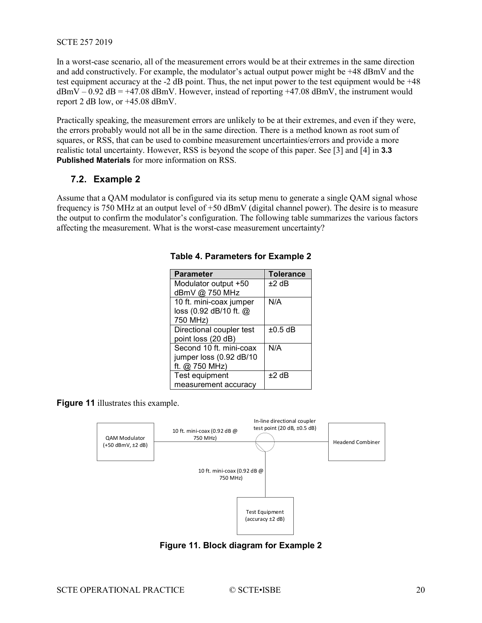In a worst-case scenario, all of the measurement errors would be at their extremes in the same direction and add constructively. For example, the modulator's actual output power might be +48 dBmV and the test equipment accuracy at the -2 dB point. Thus, the net input power to the test equipment would be +48  $dBmV - 0.92 dB = +47.08$  dBmV. However, instead of reporting  $+47.08$  dBmV, the instrument would report 2 dB low, or +45.08 dBmV.

Practically speaking, the measurement errors are unlikely to be at their extremes, and even if they were, the errors probably would not all be in the same direction. There is a method known as root sum of squares, or RSS, that can be used to combine measurement uncertainties/errors and provide a more realistic total uncertainty. However, RSS is beyond the scope of this paper. See [3] and [4] in **3.3 Published Materials** for more information on RSS.

#### <span id="page-19-0"></span>**7.2. Example 2**

<span id="page-19-2"></span>Assume that a QAM modulator is configured via its setup menu to generate a single QAM signal whose frequency is 750 MHz at an output level of +50 dBmV (digital channel power). The desire is to measure the output to confirm the modulator's configuration. The following table summarizes the various factors affecting the measurement. What is the worst-case measurement uncertainty?

| <b>Parameter</b>         | <b>Tolerance</b> |
|--------------------------|------------------|
| Modulator output +50     | $±2$ dB          |
| dBmV @ 750 MHz           |                  |
| 10 ft. mini-coax jumper  | N/A              |
| loss (0.92 dB/10 ft. @   |                  |
| 750 MHz)                 |                  |
| Directional coupler test | $\pm 0.5$ dB     |
| point loss (20 dB)       |                  |
| Second 10 ft. mini-coax  | N/A              |
| jumper loss (0.92 dB/10  |                  |
| ft. @ 750 MHz)           |                  |
| Test equipment           | $+2$ dB          |
| measurement accuracy     |                  |

#### **Table 4. Parameters for Example 2**

**[Figure 11](#page-19-1)** illustrates this example.



<span id="page-19-1"></span>**Figure 11. Block diagram for Example 2**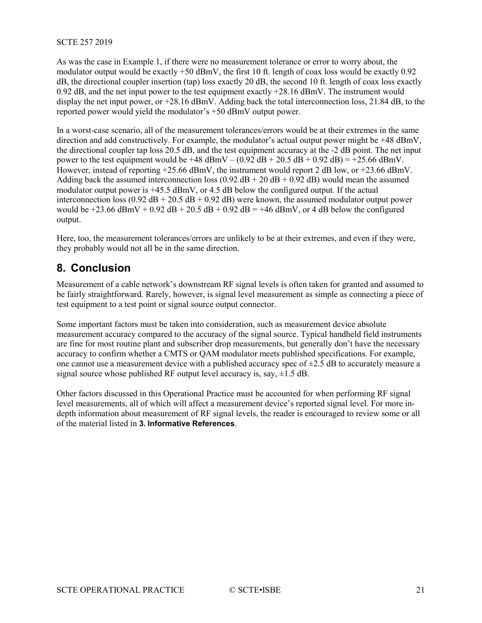As was the case in Example 1, if there were no measurement tolerance or error to worry about, the modulator output would be exactly +50 dBmV, the first 10 ft. length of coax loss would be exactly 0.92 dB, the directional coupler insertion (tap) loss exactly 20 dB, the second 10 ft. length of coax loss exactly 0.92 dB, and the net input power to the test equipment exactly +28.16 dBmV. The instrument would display the net input power, or +28.16 dBmV. Adding back the total interconnection loss, 21.84 dB, to the reported power would yield the modulator's +50 dBmV output power.

In a worst-case scenario, all of the measurement tolerances/errors would be at their extremes in the same direction and add constructively. For example, the modulator's actual output power might be +48 dBmV, the directional coupler tap loss 20.5 dB, and the test equipment accuracy at the -2 dB point. The net input power to the test equipment would be +48 dBmV – (0.92 dB + 20.5 dB + 0.92 dB) = +25.66 dBmV. However, instead of reporting +25.66 dBmV, the instrument would report 2 dB low, or +23.66 dBmV. Adding back the assumed interconnection loss (0.92 dB + 20 dB + 0.92 dB) would mean the assumed modulator output power is +45.5 dBmV, or 4.5 dB below the configured output. If the actual interconnection loss (0.92 dB + 20.5 dB + 0.92 dB) were known, the assumed modulator output power would be  $+23.66$  dBmV + 0.92 dB + 20.5 dB + 0.92 dB = +46 dBmV, or 4 dB below the configured output.

Here, too, the measurement tolerances/errors are unlikely to be at their extremes, and even if they were, they probably would not all be in the same direction.

#### <span id="page-20-0"></span>**8. Conclusion**

Measurement of a cable network's downstream RF signal levels is often taken for granted and assumed to be fairly straightforward. Rarely, however, is signal level measurement as simple as connecting a piece of test equipment to a test point or signal source output connector.

Some important factors must be taken into consideration, such as measurement device absolute measurement accuracy compared to the accuracy of the signal source. Typical handheld field instruments are fine for most routine plant and subscriber drop measurements, but generally don't have the necessary accuracy to confirm whether a CMTS or QAM modulator meets published specifications. For example, one cannot use a measurement device with a published accuracy spec of  $\pm 2.5$  dB to accurately measure a signal source whose published RF output level accuracy is, say,  $\pm 1.5$  dB.

Other factors discussed in this Operational Practice must be accounted for when performing RF signal level measurements, all of which will affect a measurement device's reported signal level. For more indepth information about measurement of RF signal levels, the reader is encouraged to review some or all of the material listed in **3. Informative References**.